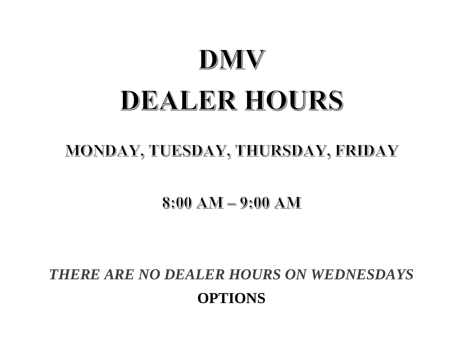## DMV DEALER HOURS

## MONDAY, TUESDAY, THURSDAY, FRIDAY

 $8:00$  AM  $-$  9:00 AM

*THERE ARE NO DEALER HOURS ON WEDNESDAYS* **OPTIONS**